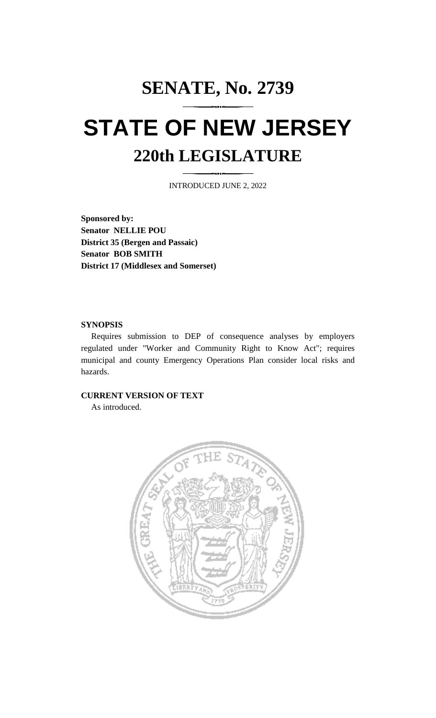## **SENATE, No. 2739 STATE OF NEW JERSEY 220th LEGISLATURE**

INTRODUCED JUNE 2, 2022

**Sponsored by: Senator NELLIE POU District 35 (Bergen and Passaic) Senator BOB SMITH District 17 (Middlesex and Somerset)**

## **SYNOPSIS**

Requires submission to DEP of consequence analyses by employers regulated under "Worker and Community Right to Know Act"; requires municipal and county Emergency Operations Plan consider local risks and hazards.

## **CURRENT VERSION OF TEXT**

As introduced.

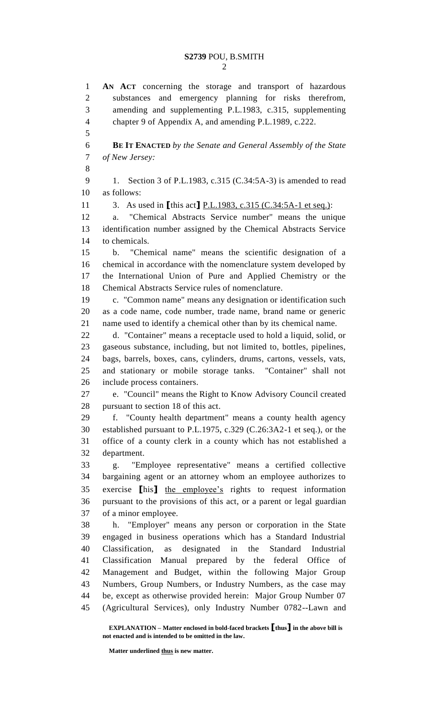**AN ACT** concerning the storage and transport of hazardous substances and emergency planning for risks therefrom, amending and supplementing P.L.1983, c.315, supplementing chapter 9 of Appendix A, and amending P.L.1989, c.222. **BE IT ENACTED** *by the Senate and General Assembly of the State of New Jersey:* 9 1. Section 3 of P.L.1983, c.315 (C.34:5A-3) is amended to read as follows: 3. As used in **[**this act**]** P.L.1983, c.315 (C.34:5A-1 et seq.): a. "Chemical Abstracts Service number" means the unique identification number assigned by the Chemical Abstracts Service to chemicals. b. "Chemical name" means the scientific designation of a chemical in accordance with the nomenclature system developed by the International Union of Pure and Applied Chemistry or the Chemical Abstracts Service rules of nomenclature. c. "Common name" means any designation or identification such as a code name, code number, trade name, brand name or generic name used to identify a chemical other than by its chemical name. d. "Container" means a receptacle used to hold a liquid, solid, or gaseous substance, including, but not limited to, bottles, pipelines, bags, barrels, boxes, cans, cylinders, drums, cartons, vessels, vats, and stationary or mobile storage tanks. "Container" shall not include process containers. e. "Council" means the Right to Know Advisory Council created pursuant to section 18 of this act. f. "County health department" means a county health agency established pursuant to P.L.1975, c.329 (C.26:3A2-1 et seq.), or the office of a county clerk in a county which has not established a department. g. "Employee representative" means a certified collective bargaining agent or an attorney whom an employee authorizes to exercise **[**his**]** the employee's rights to request information pursuant to the provisions of this act, or a parent or legal guardian of a minor employee. h. "Employer" means any person or corporation in the State engaged in business operations which has a Standard Industrial Classification, as designated in the Standard Industrial Classification Manual prepared by the federal Office of Management and Budget, within the following Major Group Numbers, Group Numbers, or Industry Numbers, as the case may be, except as otherwise provided herein: Major Group Number 07 (Agricultural Services), only Industry Number 0782--Lawn and

**EXPLANATION – Matter enclosed in bold-faced brackets [thus] in the above bill is not enacted and is intended to be omitted in the law.**

**Matter underlined thus is new matter.**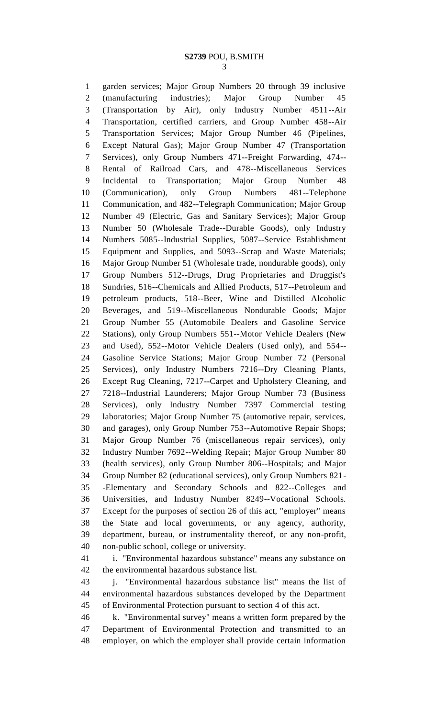garden services; Major Group Numbers 20 through 39 inclusive (manufacturing industries); Major Group Number 45 (Transportation by Air), only Industry Number 4511--Air Transportation, certified carriers, and Group Number 458--Air Transportation Services; Major Group Number 46 (Pipelines, Except Natural Gas); Major Group Number 47 (Transportation Services), only Group Numbers 471--Freight Forwarding, 474-- Rental of Railroad Cars, and 478--Miscellaneous Services Incidental to Transportation; Major Group Number 48 (Communication), only Group Numbers 481--Telephone Communication, and 482--Telegraph Communication; Major Group Number 49 (Electric, Gas and Sanitary Services); Major Group Number 50 (Wholesale Trade--Durable Goods), only Industry Numbers 5085--Industrial Supplies, 5087--Service Establishment Equipment and Supplies, and 5093--Scrap and Waste Materials; Major Group Number 51 (Wholesale trade, nondurable goods), only Group Numbers 512--Drugs, Drug Proprietaries and Druggist's Sundries, 516--Chemicals and Allied Products, 517--Petroleum and petroleum products, 518--Beer, Wine and Distilled Alcoholic Beverages, and 519--Miscellaneous Nondurable Goods; Major Group Number 55 (Automobile Dealers and Gasoline Service Stations), only Group Numbers 551--Motor Vehicle Dealers (New and Used), 552--Motor Vehicle Dealers (Used only), and 554-- Gasoline Service Stations; Major Group Number 72 (Personal Services), only Industry Numbers 7216--Dry Cleaning Plants, Except Rug Cleaning, 7217--Carpet and Upholstery Cleaning, and 7218--Industrial Launderers; Major Group Number 73 (Business Services), only Industry Number 7397 Commercial testing laboratories; Major Group Number 75 (automotive repair, services, and garages), only Group Number 753--Automotive Repair Shops; Major Group Number 76 (miscellaneous repair services), only Industry Number 7692--Welding Repair; Major Group Number 80 (health services), only Group Number 806--Hospitals; and Major Group Number 82 (educational services), only Group Numbers 821- -Elementary and Secondary Schools and 822--Colleges and Universities, and Industry Number 8249--Vocational Schools. Except for the purposes of section 26 of this act, "employer" means the State and local governments, or any agency, authority, department, bureau, or instrumentality thereof, or any non-profit, non-public school, college or university.

 i. "Environmental hazardous substance" means any substance on the environmental hazardous substance list.

 j. "Environmental hazardous substance list" means the list of environmental hazardous substances developed by the Department of Environmental Protection pursuant to section 4 of this act.

 k. "Environmental survey" means a written form prepared by the Department of Environmental Protection and transmitted to an employer, on which the employer shall provide certain information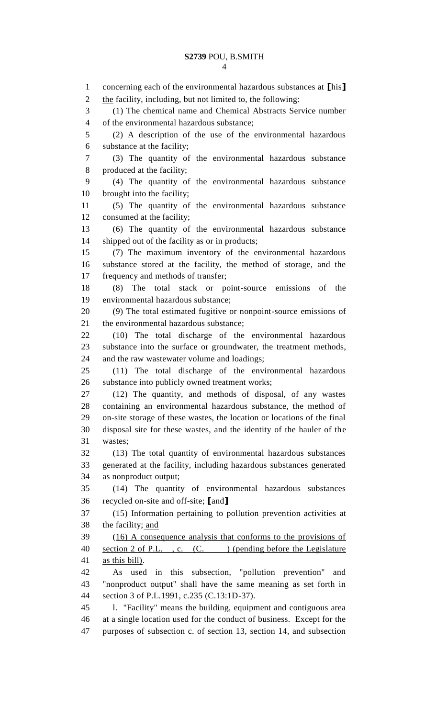concerning each of the environmental hazardous substances at **[**his**]** 2 the facility, including, but not limited to, the following: (1) The chemical name and Chemical Abstracts Service number of the environmental hazardous substance; (2) A description of the use of the environmental hazardous substance at the facility; (3) The quantity of the environmental hazardous substance produced at the facility; (4) The quantity of the environmental hazardous substance brought into the facility; (5) The quantity of the environmental hazardous substance consumed at the facility; (6) The quantity of the environmental hazardous substance shipped out of the facility as or in products; (7) The maximum inventory of the environmental hazardous substance stored at the facility, the method of storage, and the frequency and methods of transfer; (8) The total stack or point-source emissions of the environmental hazardous substance; (9) The total estimated fugitive or nonpoint-source emissions of the environmental hazardous substance; (10) The total discharge of the environmental hazardous substance into the surface or groundwater, the treatment methods, and the raw wastewater volume and loadings; (11) The total discharge of the environmental hazardous substance into publicly owned treatment works; (12) The quantity, and methods of disposal, of any wastes containing an environmental hazardous substance, the method of on-site storage of these wastes, the location or locations of the final disposal site for these wastes, and the identity of the hauler of the wastes; (13) The total quantity of environmental hazardous substances generated at the facility, including hazardous substances generated as nonproduct output; (14) The quantity of environmental hazardous substances recycled on-site and off-site; **[**and**]** (15) Information pertaining to pollution prevention activities at 38 the facility; and (16) A consequence analysis that conforms to the provisions of 40 section 2 of P.L., c. (C.) (pending before the Legislature as this bill). As used in this subsection, "pollution prevention" and "nonproduct output" shall have the same meaning as set forth in section 3 of P.L.1991, c.235 (C.13:1D-37). l. "Facility" means the building, equipment and contiguous area at a single location used for the conduct of business. Except for the purposes of subsection c. of section 13, section 14, and subsection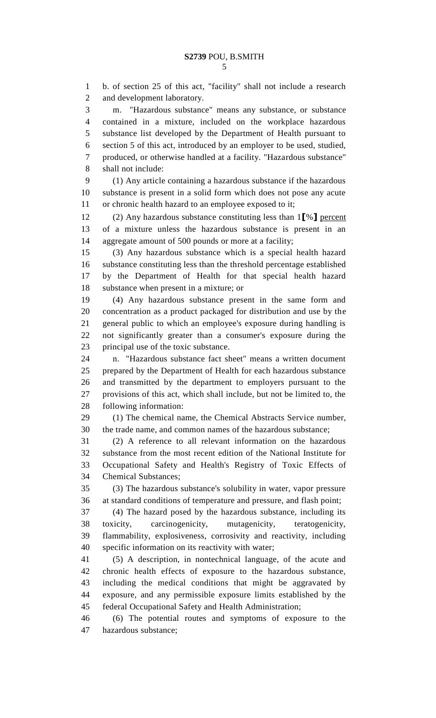b. of section 25 of this act, "facility" shall not include a research and development laboratory. m. "Hazardous substance" means any substance, or substance contained in a mixture, included on the workplace hazardous substance list developed by the Department of Health pursuant to section 5 of this act, introduced by an employer to be used, studied, produced, or otherwise handled at a facility. "Hazardous substance" shall not include: (1) Any article containing a hazardous substance if the hazardous substance is present in a solid form which does not pose any acute or chronic health hazard to an employee exposed to it; (2) Any hazardous substance constituting less than 1**[**%**]** percent of a mixture unless the hazardous substance is present in an aggregate amount of 500 pounds or more at a facility; (3) Any hazardous substance which is a special health hazard substance constituting less than the threshold percentage established by the Department of Health for that special health hazard substance when present in a mixture; or (4) Any hazardous substance present in the same form and concentration as a product packaged for distribution and use by the general public to which an employee's exposure during handling is not significantly greater than a consumer's exposure during the principal use of the toxic substance. n. "Hazardous substance fact sheet" means a written document prepared by the Department of Health for each hazardous substance and transmitted by the department to employers pursuant to the provisions of this act, which shall include, but not be limited to, the following information: (1) The chemical name, the Chemical Abstracts Service number, the trade name, and common names of the hazardous substance; (2) A reference to all relevant information on the hazardous substance from the most recent edition of the National Institute for Occupational Safety and Health's Registry of Toxic Effects of Chemical Substances; (3) The hazardous substance's solubility in water, vapor pressure at standard conditions of temperature and pressure, and flash point; (4) The hazard posed by the hazardous substance, including its toxicity, carcinogenicity, mutagenicity, teratogenicity, flammability, explosiveness, corrosivity and reactivity, including specific information on its reactivity with water; (5) A description, in nontechnical language, of the acute and chronic health effects of exposure to the hazardous substance, including the medical conditions that might be aggravated by exposure, and any permissible exposure limits established by the federal Occupational Safety and Health Administration; (6) The potential routes and symptoms of exposure to the

hazardous substance;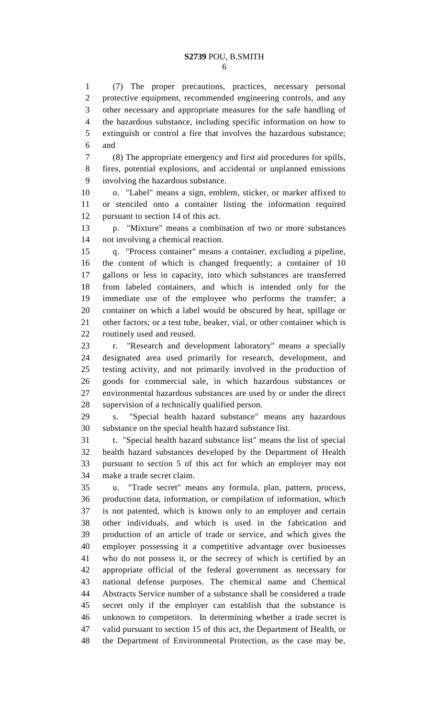(7) The proper precautions, practices, necessary personal protective equipment, recommended engineering controls, and any other necessary and appropriate measures for the safe handling of the hazardous substance, including specific information on how to extinguish or control a fire that involves the hazardous substance; and

 (8) The appropriate emergency and first aid procedures for spills, fires, potential explosions, and accidental or unplanned emissions involving the hazardous substance.

 o. "Label" means a sign, emblem, sticker, or marker affixed to or stenciled onto a container listing the information required pursuant to section 14 of this act.

 p. "Mixture" means a combination of two or more substances not involving a chemical reaction.

 q. "Process container" means a container, excluding a pipeline, the content of which is changed frequently; a container of 10 gallons or less in capacity, into which substances are transferred from labeled containers, and which is intended only for the immediate use of the employee who performs the transfer; a container on which a label would be obscured by heat, spillage or other factors; or a test tube, beaker, vial, or other container which is routinely used and reused.

 r. "Research and development laboratory" means a specially designated area used primarily for research, development, and testing activity, and not primarily involved in the production of goods for commercial sale, in which hazardous substances or environmental hazardous substances are used by or under the direct supervision of a technically qualified person.

 s. "Special health hazard substance" means any hazardous substance on the special health hazard substance list.

 t. "Special health hazard substance list" means the list of special health hazard substances developed by the Department of Health pursuant to section 5 of this act for which an employer may not make a trade secret claim.

 u. "Trade secret" means any formula, plan, pattern, process, production data, information, or compilation of information, which is not patented, which is known only to an employer and certain other individuals, and which is used in the fabrication and production of an article of trade or service, and which gives the employer possessing it a competitive advantage over businesses who do not possess it, or the secrecy of which is certified by an appropriate official of the federal government as necessary for national defense purposes. The chemical name and Chemical Abstracts Service number of a substance shall be considered a trade secret only if the employer can establish that the substance is unknown to competitors. In determining whether a trade secret is valid pursuant to section 15 of this act, the Department of Health, or the Department of Environmental Protection, as the case may be,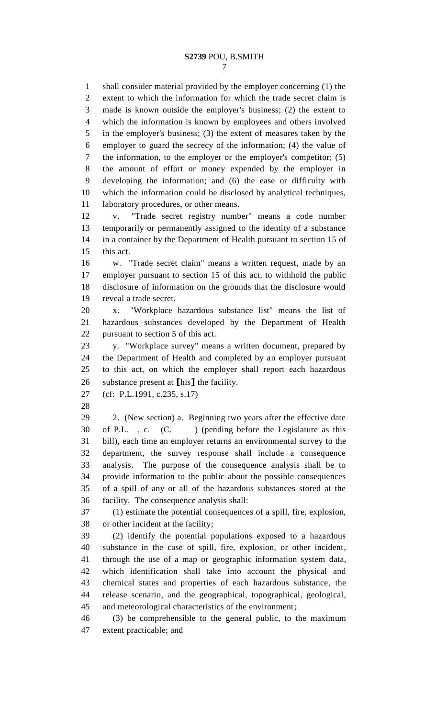shall consider material provided by the employer concerning (1) the extent to which the information for which the trade secret claim is made is known outside the employer's business; (2) the extent to which the information is known by employees and others involved in the employer's business; (3) the extent of measures taken by the employer to guard the secrecy of the information; (4) the value of the information, to the employer or the employer's competitor; (5) the amount of effort or money expended by the employer in developing the information; and (6) the ease or difficulty with which the information could be disclosed by analytical techniques, laboratory procedures, or other means.

 v. "Trade secret registry number" means a code number temporarily or permanently assigned to the identity of a substance in a container by the Department of Health pursuant to section 15 of this act.

 w. "Trade secret claim" means a written request, made by an employer pursuant to section 15 of this act, to withhold the public disclosure of information on the grounds that the disclosure would reveal a trade secret.

 x. "Workplace hazardous substance list" means the list of hazardous substances developed by the Department of Health pursuant to section 5 of this act.

 y. "Workplace survey" means a written document, prepared by the Department of Health and completed by an employer pursuant to this act, on which the employer shall report each hazardous substance present at **[**his**]** the facility.

(cf: P.L.1991, c.235, s.17)

 2. (New section) a. Beginning two years after the effective date 30 of P.L., c. (C.) (pending before the Legislature as this bill), each time an employer returns an environmental survey to the department, the survey response shall include a consequence analysis. The purpose of the consequence analysis shall be to provide information to the public about the possible consequences of a spill of any or all of the hazardous substances stored at the facility. The consequence analysis shall:

 (1) estimate the potential consequences of a spill, fire, explosion, or other incident at the facility;

 (2) identify the potential populations exposed to a hazardous substance in the case of spill, fire, explosion, or other incident, through the use of a map or geographic information system data, which identification shall take into account the physical and chemical states and properties of each hazardous substance, the release scenario, and the geographical, topographical, geological, and meteorological characteristics of the environment;

 (3) be comprehensible to the general public, to the maximum extent practicable; and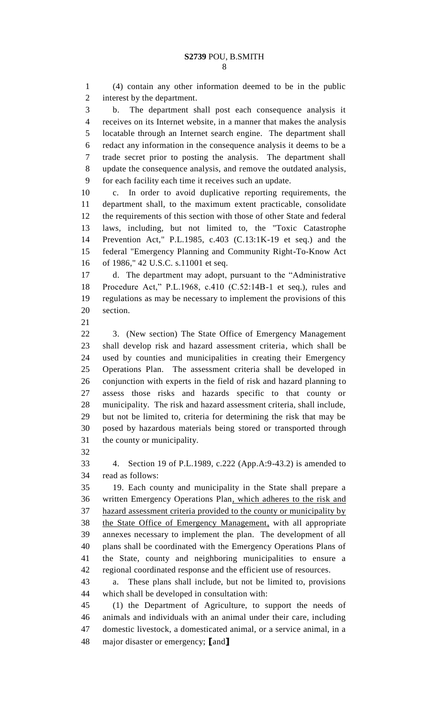(4) contain any other information deemed to be in the public interest by the department. b. The department shall post each consequence analysis it receives on its Internet website, in a manner that makes the analysis locatable through an Internet search engine. The department shall redact any information in the consequence analysis it deems to be a trade secret prior to posting the analysis. The department shall update the consequence analysis, and remove the outdated analysis, for each facility each time it receives such an update. c. In order to avoid duplicative reporting requirements, the department shall, to the maximum extent practicable, consolidate the requirements of this section with those of other State and federal laws, including, but not limited to, the "Toxic Catastrophe Prevention Act," P.L.1985, c.403 (C.13:1K-19 et seq.) and the federal "Emergency Planning and Community Right-To-Know Act of 1986," 42 U.S.C. s.11001 et seq. d. The department may adopt, pursuant to the "Administrative Procedure Act," P.L.1968, c.410 (C.52:14B-1 et seq.), rules and regulations as may be necessary to implement the provisions of this section. 3. (New section) The State Office of Emergency Management shall develop risk and hazard assessment criteria, which shall be used by counties and municipalities in creating their Emergency Operations Plan. The assessment criteria shall be developed in conjunction with experts in the field of risk and hazard planning to assess those risks and hazards specific to that county or municipality. The risk and hazard assessment criteria, shall include, but not be limited to, criteria for determining the risk that may be posed by hazardous materials being stored or transported through the county or municipality. 4. Section 19 of P.L.1989, c.222 (App.A:9-43.2) is amended to read as follows: 19. Each county and municipality in the State shall prepare a written Emergency Operations Plan, which adheres to the risk and hazard assessment criteria provided to the county or municipality by the State Office of Emergency Management, with all appropriate annexes necessary to implement the plan. The development of all plans shall be coordinated with the Emergency Operations Plans of the State, county and neighboring municipalities to ensure a regional coordinated response and the efficient use of resources. a. These plans shall include, but not be limited to, provisions which shall be developed in consultation with: (1) the Department of Agriculture, to support the needs of animals and individuals with an animal under their care, including domestic livestock, a domesticated animal, or a service animal, in a major disaster or emergency; **[**and**]**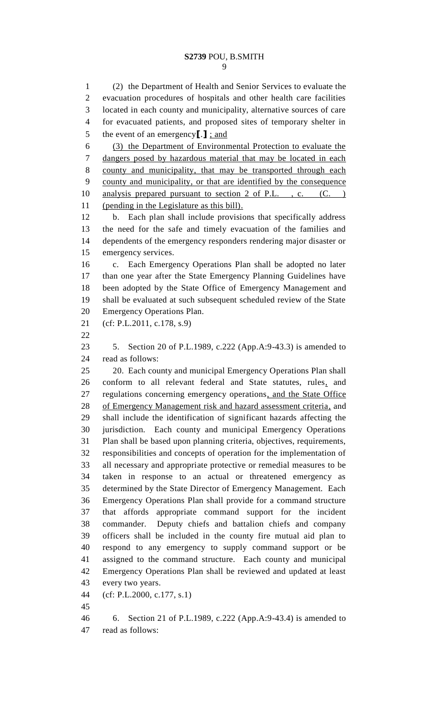(2) the Department of Health and Senior Services to evaluate the evacuation procedures of hospitals and other health care facilities located in each county and municipality, alternative sources of care for evacuated patients, and proposed sites of temporary shelter in the event of an emergency**[**.**]** ; and (3) the Department of Environmental Protection to evaluate the dangers posed by hazardous material that may be located in each county and municipality, that may be transported through each county and municipality, or that are identified by the consequence 10 analysis prepared pursuant to section 2 of P.L., c. (C.) (pending in the Legislature as this bill). b. Each plan shall include provisions that specifically address the need for the safe and timely evacuation of the families and dependents of the emergency responders rendering major disaster or emergency services. c. Each Emergency Operations Plan shall be adopted no later than one year after the State Emergency Planning Guidelines have been adopted by the State Office of Emergency Management and shall be evaluated at such subsequent scheduled review of the State Emergency Operations Plan. (cf: P.L.2011, c.178, s.9) 5. Section 20 of P.L.1989, c.222 (App.A:9-43.3) is amended to read as follows: 20. Each county and municipal Emergency Operations Plan shall conform to all relevant federal and State statutes, rules, and regulations concerning emergency operations, and the State Office of Emergency Management risk and hazard assessment criteria, and shall include the identification of significant hazards affecting the jurisdiction. Each county and municipal Emergency Operations Plan shall be based upon planning criteria, objectives, requirements, responsibilities and concepts of operation for the implementation of all necessary and appropriate protective or remedial measures to be taken in response to an actual or threatened emergency as determined by the State Director of Emergency Management. Each Emergency Operations Plan shall provide for a command structure that affords appropriate command support for the incident commander. Deputy chiefs and battalion chiefs and company officers shall be included in the county fire mutual aid plan to respond to any emergency to supply command support or be assigned to the command structure. Each county and municipal Emergency Operations Plan shall be reviewed and updated at least every two years. (cf: P.L.2000, c.177, s.1) 6. Section 21 of P.L.1989, c.222 (App.A:9-43.4) is amended to

read as follows: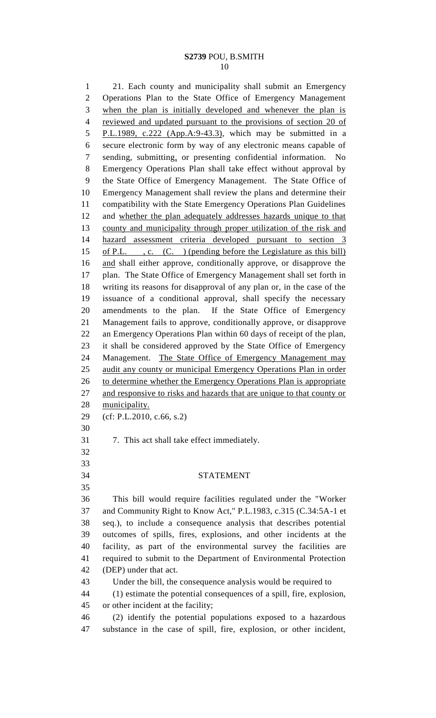## **S2739** POU, B.SMITH

 21. Each county and municipality shall submit an Emergency Operations Plan to the State Office of Emergency Management when the plan is initially developed and whenever the plan is reviewed and updated pursuant to the provisions of section 20 of P.L.1989, c.222 (App.A:9-43.3), which may be submitted in a secure electronic form by way of any electronic means capable of sending, submitting, or presenting confidential information. No Emergency Operations Plan shall take effect without approval by the State Office of Emergency Management. The State Office of Emergency Management shall review the plans and determine their compatibility with the State Emergency Operations Plan Guidelines and whether the plan adequately addresses hazards unique to that 13 county and municipality through proper utilization of the risk and hazard assessment criteria developed pursuant to section 3 15 of P.L. , c. (C. ) (pending before the Legislature as this bill) and shall either approve, conditionally approve, or disapprove the plan. The State Office of Emergency Management shall set forth in writing its reasons for disapproval of any plan or, in the case of the issuance of a conditional approval, shall specify the necessary amendments to the plan. If the State Office of Emergency Management fails to approve, conditionally approve, or disapprove an Emergency Operations Plan within 60 days of receipt of the plan, it shall be considered approved by the State Office of Emergency 24 Management. The State Office of Emergency Management may audit any county or municipal Emergency Operations Plan in order 26 to determine whether the Emergency Operations Plan is appropriate 27 and responsive to risks and hazards that are unique to that county or 28 municipality. (cf: P.L.2010, c.66, s.2) 7. This act shall take effect immediately. STATEMENT This bill would require facilities regulated under the "Worker and Community Right to Know Act," P.L.1983, c.315 (C.34:5A-1 et seq.), to include a consequence analysis that describes potential outcomes of spills, fires, explosions, and other incidents at the facility, as part of the environmental survey the facilities are required to submit to the Department of Environmental Protection (DEP) under that act. Under the bill, the consequence analysis would be required to (1) estimate the potential consequences of a spill, fire, explosion, or other incident at the facility; (2) identify the potential populations exposed to a hazardous

substance in the case of spill, fire, explosion, or other incident,